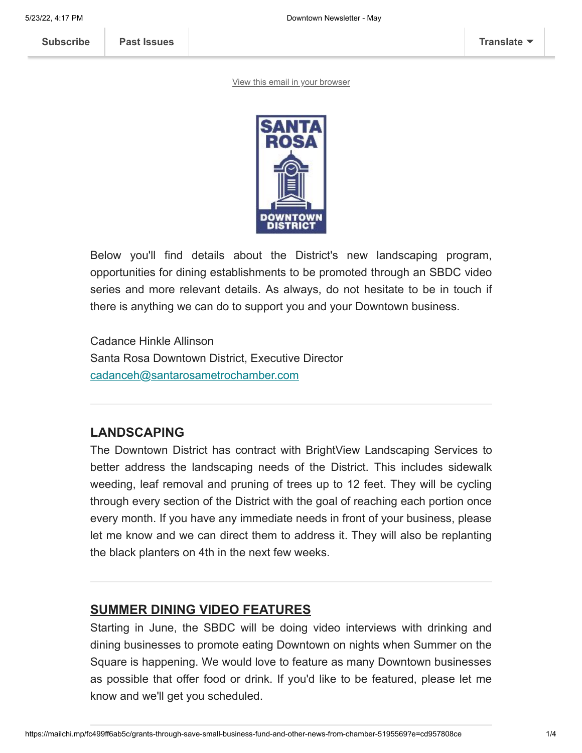[View this email in your browser](https://mailchi.mp/fc499ff6ab5c/grants-through-save-small-business-fund-and-other-news-from-chamber-5195569?e=cd957808ce)



Below you'll find details about the District's new landscaping program, opportunities for dining establishments to be promoted through an SBDC video series and more relevant details. As always, do not hesitate to be in touch if there is anything we can do to support you and your Downtown business.

Cadance Hinkle Allinson Santa Rosa Downtown District, Executive Director [cadanceh@santarosametrochamber.com](mailto:cadanceh@santarosametrochamber.com?subject=Newsletter)

# **LANDSCAPING**

The Downtown District has contract with BrightView Landscaping Services to better address the landscaping needs of the District. This includes sidewalk weeding, leaf removal and pruning of trees up to 12 feet. They will be cycling through every section of the District with the goal of reaching each portion once every month. If you have any immediate needs in front of your business, please let me know and we can direct them to address it. They will also be replanting the black planters on 4th in the next few weeks.

## **SUMMER DINING VIDEO FEATURES**

Starting in June, the SBDC will be doing video interviews with drinking and dining businesses to promote eating Downtown on nights when Summer on the Square is happening. We would love to feature as many Downtown businesses as possible that offer food or drink. If you'd like to be featured, please let me know and we'll get you scheduled.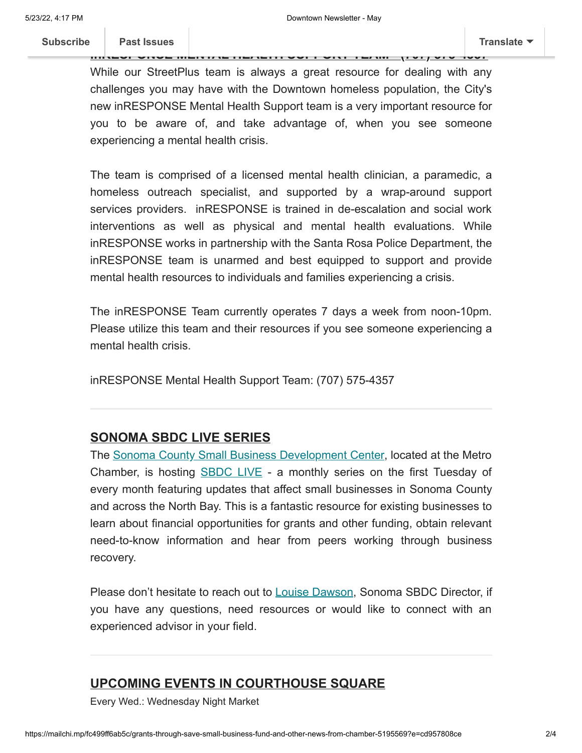While our StreetPlus team is always a great resource for dealing with any challenges you may have with the Downtown homeless population, the City's new inRESPONSE Mental Health Support team is a very important resource for you to be aware of, and take advantage of, when you see someone experiencing a mental health crisis.

**in[RESPONSE ME](https://us3.campaign-archive.com/home/?u=90ff01e7c4f38e2ff12ceecab&id=ad313aa230)NTAL HEALTH SUPPORT TEAM - (707) 575-4357**

The team is comprised of a licensed mental health clinician, a paramedic, a homeless outreach specialist, and supported by a wrap-around support services providers. inRESPONSE is trained in de-escalation and social work interventions as well as physical and mental health evaluations. While inRESPONSE works in partnership with the Santa Rosa Police Department, the inRESPONSE team is unarmed and best equipped to support and provide mental health resources to individuals and families experiencing a crisis.

The inRESPONSE Team currently operates 7 days a week from noon-10pm. Please utilize this team and their resources if you see someone experiencing a mental health crisis.

inRESPONSE Mental Health Support Team: (707) 575-4357

#### **SONOMA SBDC LIVE SERIES**

The [Sonoma County Small Business Development Center,](http://www.sonomasbdc.org/) located at the Metro Chamber, is hosting **[SBDC LIVE](https://www.sonomasbdc.org/sbdclive/)** - a monthly series on the first Tuesday of every month featuring updates that affect small businesses in Sonoma County and across the North Bay. This is a fantastic resource for existing businesses to learn about financial opportunities for grants and other funding, obtain relevant need-to-know information and hear from peers working through business recovery.

Please don't hesitate to reach out to [Louise Dawson,](mailto:louise@sonomasbdc.org?subject=Downtown%20District%20SBDC) Sonoma SBDC Director, if you have any questions, need resources or would like to connect with an experienced advisor in your field.

#### **UPCOMING EVENTS IN COURTHOUSE SQUARE**

Every Wed.: Wednesday Night Market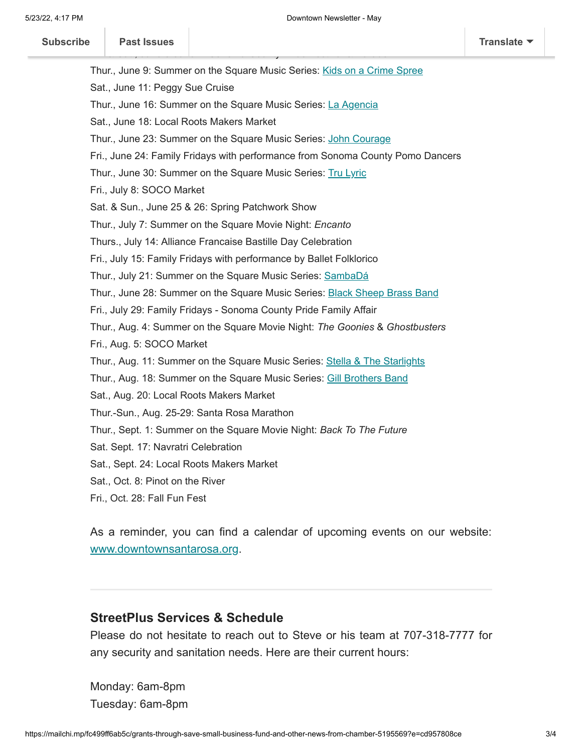| Subscribe |  |
|-----------|--|
|-----------|--|

| <b>Subscribe</b> | <b>Past Issues</b>                  |                                                                                | <b>Translate</b> |
|------------------|-------------------------------------|--------------------------------------------------------------------------------|------------------|
|                  |                                     | Thur., June 9: Summer on the Square Music Series: Kids on a Crime Spree        |                  |
|                  | Sat., June 11: Peggy Sue Cruise     |                                                                                |                  |
|                  |                                     | Thur., June 16: Summer on the Square Music Series: La Agencia                  |                  |
|                  |                                     | Sat., June 18: Local Roots Makers Market                                       |                  |
|                  |                                     | Thur., June 23: Summer on the Square Music Series: John Courage                |                  |
|                  |                                     | Fri., June 24: Family Fridays with performance from Sonoma County Pomo Dancers |                  |
|                  |                                     | Thur., June 30: Summer on the Square Music Series: Tru Lyric                   |                  |
|                  | Fri., July 8: SOCO Market           |                                                                                |                  |
|                  |                                     | Sat. & Sun., June 25 & 26: Spring Patchwork Show                               |                  |
|                  |                                     | Thur., July 7: Summer on the Square Movie Night: Encanto                       |                  |
|                  |                                     | Thurs., July 14: Alliance Francaise Bastille Day Celebration                   |                  |
|                  |                                     | Fri., July 15: Family Fridays with performance by Ballet Folklorico            |                  |
|                  |                                     | Thur., July 21: Summer on the Square Music Series: SambaDá                     |                  |
|                  |                                     | Thur., June 28: Summer on the Square Music Series: Black Sheep Brass Band      |                  |
|                  |                                     | Fri., July 29: Family Fridays - Sonoma County Pride Family Affair              |                  |
|                  |                                     | Thur., Aug. 4: Summer on the Square Movie Night: The Goonies & Ghostbusters    |                  |
|                  | Fri., Aug. 5: SOCO Market           |                                                                                |                  |
|                  |                                     | Thur., Aug. 11: Summer on the Square Music Series: Stella & The Starlights     |                  |
|                  |                                     | Thur., Aug. 18: Summer on the Square Music Series: Gill Brothers Band          |                  |
|                  |                                     | Sat., Aug. 20: Local Roots Makers Market                                       |                  |
|                  |                                     | Thur.-Sun., Aug. 25-29: Santa Rosa Marathon                                    |                  |
|                  |                                     | Thur., Sept. 1: Summer on the Square Movie Night: Back To The Future           |                  |
|                  | Sat. Sept. 17: Navratri Celebration |                                                                                |                  |
|                  |                                     | Sat., Sept. 24: Local Roots Makers Market                                      |                  |
|                  | Sat., Oct. 8: Pinot on the River    |                                                                                |                  |
|                  | Fri., Oct. 28: Fall Fun Fest        |                                                                                |                  |

As a reminder, you can find a calendar of upcoming events on our website: [www.downtownsantarosa.org](http://www.downtownsantarosa.org/).

## **StreetPlus Services & Schedule**

Please do not hesitate to reach out to Steve or his team at 707-318-7777 for any security and sanitation needs. Here are their current hours:

Monday: 6am-8pm Tuesday: 6am-8pm